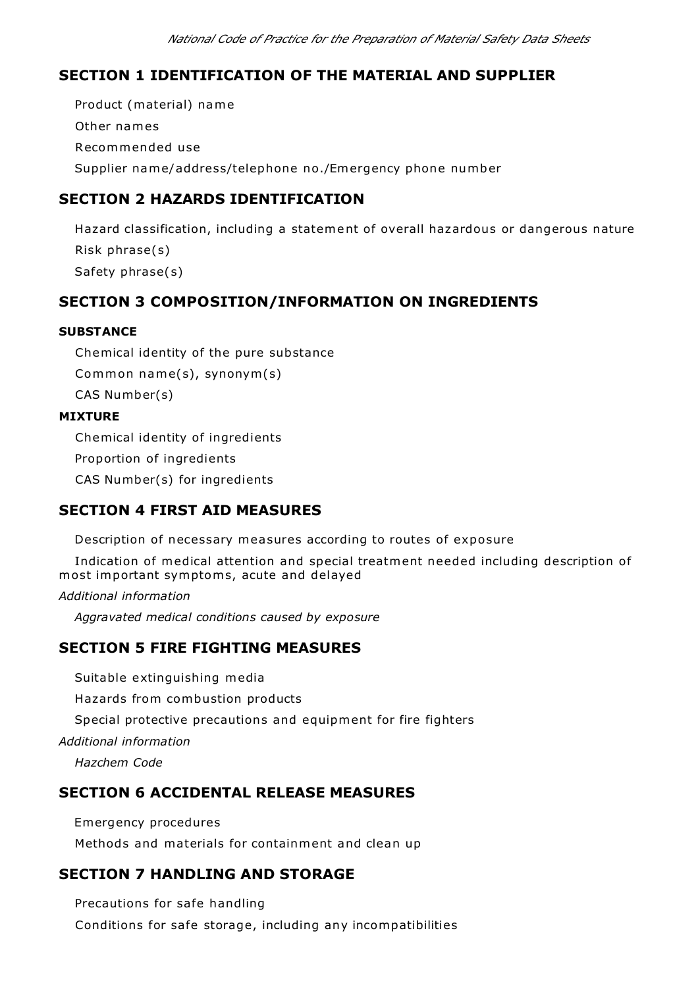## **SECTION 1 IDENTIFICATION OF THE MATERIAL AND SUPPLIER**

 Product (material) name Other names Recommended use Supplier name/address/telephone no./Emergency phone number

## **SECTION 2 HAZARDS IDENTIFICATION**

 Hazard classification, including a statement of overall hazardous or dangerous nature Risk phrase(s) Safety phrase(s)

## **SECTION 3 COMPOSITION/INFORMATION ON INGREDIENTS**

#### **SUBSTANCE**

 Chemical identity of the pure substance Common name(s), synonym(s) CAS Number(s)

#### **MIXTURE**

 Chemical identity of ingredients Proportion of ingredients CAS Number(s) for ingredients

## **SECTION 4 FIRST AID MEASURES**

Description of necessary measures according to routes of exposure

 Indication of medical attention and special treatment needed including description of most important symptoms, acute and delayed

*Additional information*

*Aggravated medical conditions caused by exposure*

### **SECTION 5 FIRE FIGHTING MEASURES**

Suitable extinguishing media

Hazards from combustion products

Special protective precautions and equipment for fire fighters

*Additional information*

*Hazchem Code*

### **SECTION 6 ACCIDENTAL RELEASE MEASURES**

 Emergency procedures Methods and materials for containment and clean up

## **SECTION 7 HANDLING AND STORAGE**

 Precautions for safe handling Conditions for safe storage, including any incompatibilities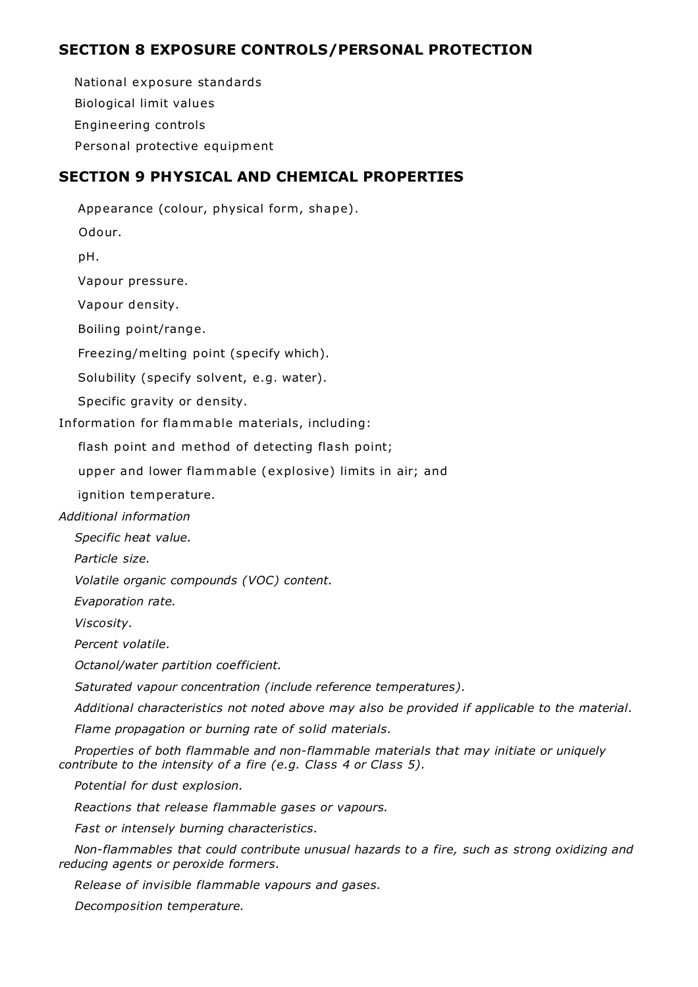## **SECTION 8 EXPOSURE CONTROLS/PERSONAL PROTECTION**

 National exposure standards Biological limit values Engineering controls Personal protective equipment

# **SECTION 9 PHYSICAL AND CHEMICAL PROPERTIES**

 Appearance (colour, physical form, shape). Odour. pH. Vapour pressure. Vapour density. Boiling point/range. Freezing/melting point (specify which). Solubility (specify solvent, e.g. water). Specific gravity or density. Information for flammable materials, including: flash point and method of detecting flash point; upper and lower flammable (explosive) limits in air; and ignition temperature. *Additional information Specific heat value. Particle size. Volatile organic compounds (VOC) content. Evaporation rate.*

*Viscosity.*

*Percent volatile.*

*Octanol/water partition coefficient.*

*Saturated vapour concentration (include reference temperatures).*

*Additional characteristics not noted above may also be provided if applicable to the material.*

*Flame propagation or burning rate of solid materials.*

 *Properties of both flammable and non-flammable materials that may initiate or uniquely contribute to the intensity of a fire (e.g. Class 4 or Class 5).*

*Potential for dust explosion.*

*Reactions that release flammable gases or vapours.*

*Fast or intensely burning characteristics.*

 *Non-flammables that could contribute unusual hazards to a fire, such as strong oxidizing and reducing agents or peroxide formers.*

*Release of invisible flammable vapours and gases.*

*Decomposition temperature.*